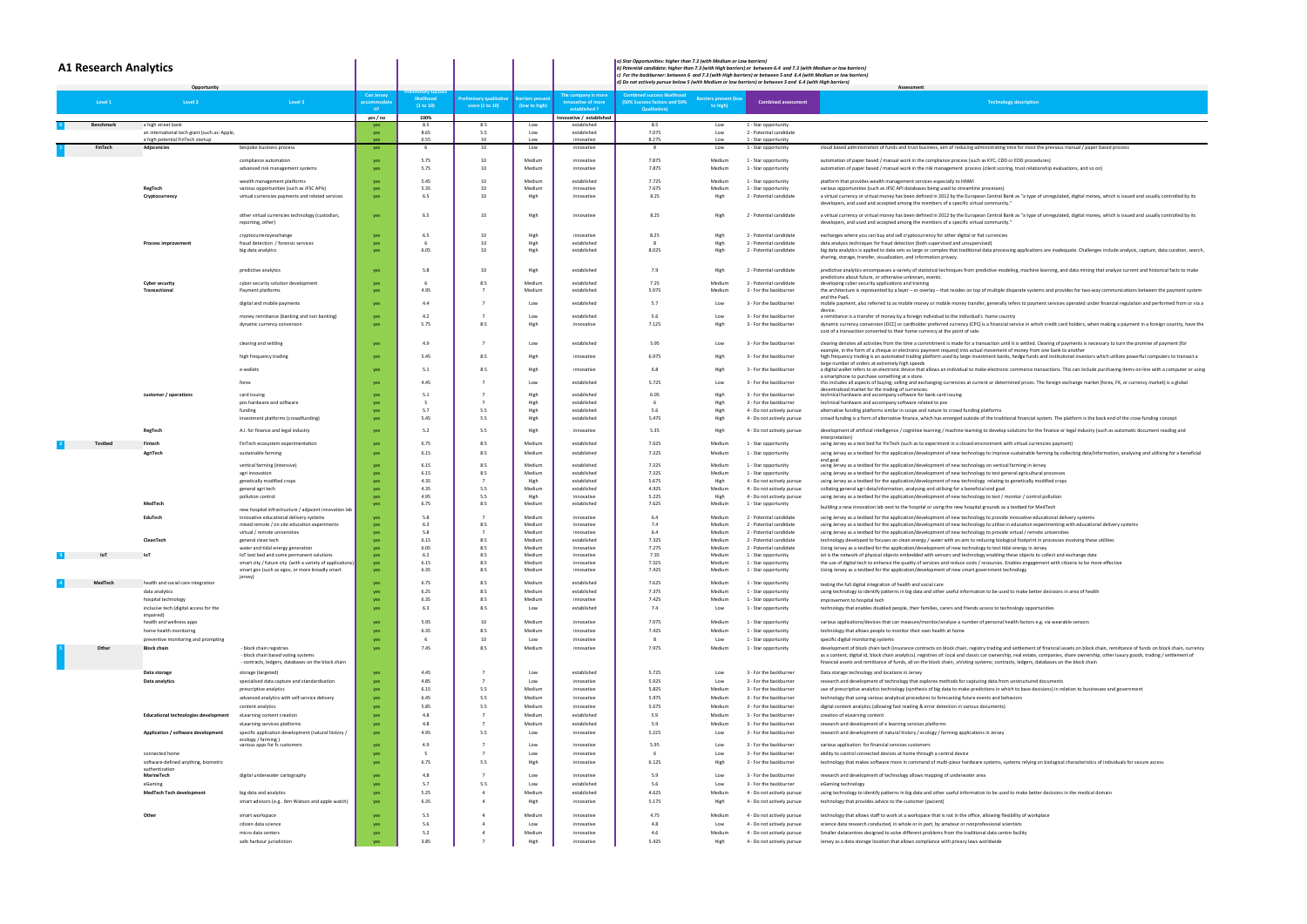| <b>A1 Research Analytics</b><br>Opportunit |                                                 |                                                                                                                      |                                       |                         |                                           |                                 |                                                          | a) Star Opportunities: higher than 7.3 (with Medium or Low barriers)<br>b) Potential candidate: higher than 7.3 (with High barriers) or between 6.4 and 7.3 (with Medium or low barriers)<br>c) For the backburner: between 6 and 7.3 (with High barriers) or between 5 and 6.4 (with Medium or low barriers)<br>d) Do not actively pursue below 5 (with Medium or low barriers) or between 5 and 6.4 (with High barriers)<br>Assessment |                                          |                                                          |                                                                                                                                                                                                                                                                                                                                                                                                                                                                                                                      |  |  |
|--------------------------------------------|-------------------------------------------------|----------------------------------------------------------------------------------------------------------------------|---------------------------------------|-------------------------|-------------------------------------------|---------------------------------|----------------------------------------------------------|------------------------------------------------------------------------------------------------------------------------------------------------------------------------------------------------------------------------------------------------------------------------------------------------------------------------------------------------------------------------------------------------------------------------------------------|------------------------------------------|----------------------------------------------------------|----------------------------------------------------------------------------------------------------------------------------------------------------------------------------------------------------------------------------------------------------------------------------------------------------------------------------------------------------------------------------------------------------------------------------------------------------------------------------------------------------------------------|--|--|
| Level 1                                    | Level 2                                         | Level 3                                                                                                              | <b>Can Jersey</b><br>ccommodat<br>it? | likelihood<br>(1 to 10) | reliminary qualitative<br>score (1 to 10) | arriers presei<br>(low to high) | The company is more<br>nnovative of more<br>established? | <b>Combined success likelihood</b><br>(50% Success factors and 50%<br><b>Qualitative)</b>                                                                                                                                                                                                                                                                                                                                                | <b>Barriers present (lov</b><br>to high) | <b>Combined assessment</b>                               | <b>Technology description</b>                                                                                                                                                                                                                                                                                                                                                                                                                                                                                        |  |  |
| Benchmark                                  | a high street bank                              |                                                                                                                      | yes / no<br>yes                       | 100%<br>8.5             | 8.5                                       | Low                             | Innovative / established<br>established                  | 8.5                                                                                                                                                                                                                                                                                                                                                                                                                                      | Low                                      | 1 - Star opportunity                                     |                                                                                                                                                                                                                                                                                                                                                                                                                                                                                                                      |  |  |
|                                            | an international tech giant (such as: Apple,    |                                                                                                                      | yes                                   | 8.65                    | 5.5<br>10                                 | Low<br>Low                      | established<br>innovative                                | 7.075                                                                                                                                                                                                                                                                                                                                                                                                                                    | Low                                      | 2 - Potential candidate                                  |                                                                                                                                                                                                                                                                                                                                                                                                                                                                                                                      |  |  |
| FinTech                                    | a high potential FinTech startup<br>Adjacencies | bespoke business process                                                                                             | yes<br>yes                            | 6.55<br>- 6             | 10                                        | Low                             | innovative                                               | 8.275<br>- 8                                                                                                                                                                                                                                                                                                                                                                                                                             | Low<br>Low                               | 1 - Star opportunity<br>1 - Star opportunity             | cloud based administration of funds and trust business, aim of reducing administrating time for most the previous manual / paper based process                                                                                                                                                                                                                                                                                                                                                                       |  |  |
|                                            |                                                 | compliance automation                                                                                                | yes                                   | 5.75                    | 10                                        | Medium                          | innovative                                               | 7.875                                                                                                                                                                                                                                                                                                                                                                                                                                    | Medium                                   | 1 - Star opportunity                                     | automation of paper based / manual work in the compliance process (such as KYC, CDD or EDD procedures)                                                                                                                                                                                                                                                                                                                                                                                                               |  |  |
|                                            |                                                 | advanced risk management systems                                                                                     | yes                                   | 5.75                    | 10                                        | Medium                          | innovative                                               | 7.875                                                                                                                                                                                                                                                                                                                                                                                                                                    | Medium                                   | 1 - Star opportunity                                     | automation of paper based / manual work in the risk management process (client scoring, trust relationship evaluations, and so on)                                                                                                                                                                                                                                                                                                                                                                                   |  |  |
|                                            |                                                 | wealth management platforms                                                                                          | ves-                                  | 5.45                    | 10                                        | Medium                          | established                                              | 7.725                                                                                                                                                                                                                                                                                                                                                                                                                                    | Medium                                   | 1 - Star opportunity                                     | platform that provides wealth management services especially to HNWI                                                                                                                                                                                                                                                                                                                                                                                                                                                 |  |  |
|                                            | RegTech                                         | varoius opportunities (such as JFSC APIs)                                                                            | yes                                   | 5.35                    | 10<br>10                                  | Medium                          | innovative                                               | 7.675                                                                                                                                                                                                                                                                                                                                                                                                                                    | Medium                                   | 1 - Star opportunity                                     | various opportunities (such as JFSC API databases being used to streamline processes)                                                                                                                                                                                                                                                                                                                                                                                                                                |  |  |
|                                            | Cryptocurrency                                  | virtual currencies payments and related services                                                                     | yes                                   | 6.5                     |                                           | High                            | innovative                                               | 8.25                                                                                                                                                                                                                                                                                                                                                                                                                                     | High                                     | 2 - Potential candidate                                  | a virtual currency or virtual money has been defined in 2012 by the European Central Bank as "a type of unregulated, digital money, which is issued and usually controlled by its<br>developers, and used and accepted among the members of a specific virtual community."                                                                                                                                                                                                                                           |  |  |
|                                            |                                                 | other virtual currencies technology (custodian,<br>reporting, other)                                                 | yes                                   | 6.5                     | 10                                        | High                            | innovative                                               | 8.25                                                                                                                                                                                                                                                                                                                                                                                                                                     | High                                     | 2 - Potential candidate                                  | a virtual currency or virtual money has been defined in 2012 by the European Central Bank as "a type of unregulated, digital money, which is issued and usually controlled by its<br>developers, and used and accepted among the members of a specific virtual community.'                                                                                                                                                                                                                                           |  |  |
|                                            |                                                 | cryptocurrencyexchange                                                                                               | yes                                   | 6.5                     | 10                                        | High                            | innovative                                               | 8.25                                                                                                                                                                                                                                                                                                                                                                                                                                     | High                                     | 2 - Potential candidate                                  | exchanges where you can buy and sell cryptocurrency for other digital or fiat currencies                                                                                                                                                                                                                                                                                                                                                                                                                             |  |  |
|                                            | <b>Process improvement</b>                      | fraud detection / forensic services<br>big data analytics                                                            | yes<br>yes                            | 6.05                    | 10<br>10                                  | High<br>High                    | established<br>established                               | 8.025                                                                                                                                                                                                                                                                                                                                                                                                                                    | High<br>High                             | 2 - Potential candidate<br>2 - Potential candidate       | data analysis techniques for fraud detection (both supervised and unsupervised)<br>big data analytics is applied to data sets so large or complex that traditional data processing applications are inadequate. Challenges include analysis, capture, data curation, sea                                                                                                                                                                                                                                             |  |  |
|                                            |                                                 |                                                                                                                      |                                       |                         |                                           |                                 |                                                          |                                                                                                                                                                                                                                                                                                                                                                                                                                          |                                          |                                                          | sharing, storage, transfer, visualization, and information privacy.                                                                                                                                                                                                                                                                                                                                                                                                                                                  |  |  |
|                                            |                                                 | predictive analytics                                                                                                 | yes                                   | 5.8                     | 10                                        | High                            | established                                              | 7.9                                                                                                                                                                                                                                                                                                                                                                                                                                      | High                                     | 2 - Potential candidate                                  | predictive analytics encompasses a variety of statistical techniques from predictive modeling, machine learning, and data mining that analyze current and historical facts to mak                                                                                                                                                                                                                                                                                                                                    |  |  |
|                                            | <b>Cyber security</b>                           | cyber security solution development                                                                                  | yes                                   |                         | 8.5                                       | Medium                          | established                                              | 7.25                                                                                                                                                                                                                                                                                                                                                                                                                                     | Medium                                   | 2 - Potential candidate                                  | predictions about future, or otherwise unknown, events<br>developing cyber security applications and training                                                                                                                                                                                                                                                                                                                                                                                                        |  |  |
|                                            | Transactiona                                    | Payment platforms                                                                                                    | yes                                   | 4.95                    |                                           | Medium                          | established                                              | 5.975                                                                                                                                                                                                                                                                                                                                                                                                                                    | Medium                                   | 3 - For the backburner                                   | the architecture is represented by a layer - or overlay - that resides on top of multiple disparate systems and provides for two-way communications between the payment syste                                                                                                                                                                                                                                                                                                                                        |  |  |
|                                            |                                                 | digital and mobile payments                                                                                          | yes                                   | 4.4                     | $\overline{7}$                            | Low                             | established                                              | 5.7                                                                                                                                                                                                                                                                                                                                                                                                                                      | Low                                      | 3 - For the backburner                                   | and the PaaS<br>mobile payment, also referred to as mobile money or mobile money transfer, generally refers to payment services operated under financial regulation and performed from or v                                                                                                                                                                                                                                                                                                                          |  |  |
|                                            |                                                 | money remittance (banking and non banking)                                                                           | yes                                   | 4.2                     | $\overline{7}$                            | I ow                            | established                                              | 5.6                                                                                                                                                                                                                                                                                                                                                                                                                                      | Low                                      | 3 - For the backburner                                   | device<br>a remittance is a transfer of money by a foreign individual to the individual's home country                                                                                                                                                                                                                                                                                                                                                                                                               |  |  |
|                                            |                                                 | dynamic currency conversion                                                                                          | yes                                   | 5.75                    | 8.5                                       | High                            | innovative                                               | 7.125                                                                                                                                                                                                                                                                                                                                                                                                                                    | High                                     | 3 - For the backburner                                   | dynamic currency conversion (DCC) or cardholder preferred currency (CPC) is a financial service in which credit card holders, when making a payment in a foreign country, have<br>cost of a transaction converted to their home currency at the point of sale.                                                                                                                                                                                                                                                       |  |  |
|                                            |                                                 | clearing and settling                                                                                                | yes                                   | 4.9                     |                                           | Low                             | established                                              | 5.95                                                                                                                                                                                                                                                                                                                                                                                                                                     | Low                                      | 3 - For the backburner                                   | clearing denotes all activities from the time a commitment is made for a transaction until it is settled. Clearing of payments is necessary to turn the promise of payment (for<br>example, in the form of a cheque or electronic payment request) into actual movement of money from one bank to another                                                                                                                                                                                                            |  |  |
|                                            |                                                 | high frequency trading                                                                                               | yes                                   | 5.45                    | 8.5                                       | High                            | innovative                                               | 6.975                                                                                                                                                                                                                                                                                                                                                                                                                                    | Higl                                     | 3 - For the backburner                                   | high frequency trading is an automated trading platform used by large investment banks, hedge funds and institutional investors which utilizes powerful computers to transact a                                                                                                                                                                                                                                                                                                                                      |  |  |
|                                            |                                                 | e-wallets                                                                                                            | yes                                   | 5.1                     | 8.5                                       | High                            | innovative                                               | 6.8                                                                                                                                                                                                                                                                                                                                                                                                                                      | Higl                                     | 3 - For the backburner                                   | large number of orders at extremely high speeds<br>a digital wallet refers to an electronic device that allows an individual to make electronic commerce transactions. This can include purchasing items on-line with a computer or u                                                                                                                                                                                                                                                                                |  |  |
|                                            |                                                 | forex                                                                                                                | yes                                   | 4.45                    | $\overline{7}$                            | Low                             | established                                              | 5.725                                                                                                                                                                                                                                                                                                                                                                                                                                    | Low                                      | 3 - For the backburner                                   | a smartphone to purchase something at a store.<br>this includes all aspects of buying, selling and exchanging currencies at current or determined prices. The foreign exchange market (forex, FX, or currency market) is a global                                                                                                                                                                                                                                                                                    |  |  |
|                                            | customer / operations                           | card issuing                                                                                                         | yes                                   | 5.1                     | $\overline{7}$                            | High                            | established                                              | 6.05                                                                                                                                                                                                                                                                                                                                                                                                                                     | High                                     | 3 - For the backburner                                   | decentralized market for the trading of currencies.<br>technical hardware and accompany software for bank card issuing                                                                                                                                                                                                                                                                                                                                                                                               |  |  |
|                                            |                                                 | pos hardware and software                                                                                            | yes                                   |                         |                                           | High                            | established                                              |                                                                                                                                                                                                                                                                                                                                                                                                                                          | High                                     | 3 - For the backburner                                   | technical hardware and accompany software related to pos                                                                                                                                                                                                                                                                                                                                                                                                                                                             |  |  |
|                                            |                                                 | funding<br>investment platforms (crowdfunding)                                                                       | yes<br>yes                            | 5.7<br>5.45             | 5.5<br>5.5                                | High<br>High                    | established<br>established                               | 5.6<br>5.475                                                                                                                                                                                                                                                                                                                                                                                                                             | High<br>High                             | 4 - Do not actively pursue<br>4 - Do not actively pursue | alternative funding platforms similar in scope and nature to crowd funding platforms<br>crowd funding is a form of alternative finance, which has emerged outside of the traditional financial system. The platform is the back end of the crow funding concept                                                                                                                                                                                                                                                      |  |  |
|                                            |                                                 |                                                                                                                      |                                       |                         |                                           |                                 |                                                          |                                                                                                                                                                                                                                                                                                                                                                                                                                          |                                          |                                                          |                                                                                                                                                                                                                                                                                                                                                                                                                                                                                                                      |  |  |
|                                            | RegTech                                         | A.I. for finance and legal industry                                                                                  | yes                                   | 5.2                     | 5.5                                       | High                            | innovative                                               | 5.35                                                                                                                                                                                                                                                                                                                                                                                                                                     | High                                     | 4 - Do not actively pursue                               | development of artificial intelligence / cognitive learning / machine learning to develop solutions for the finance or legal industry (such as automatic document reading and<br>interpretation)                                                                                                                                                                                                                                                                                                                     |  |  |
| <b>Testbe</b>                              | Fintech                                         | FinTech ecosystem experimentation                                                                                    | yes                                   | 6.75                    | 8.5                                       | Medium                          | established                                              | 7.625                                                                                                                                                                                                                                                                                                                                                                                                                                    | Medium                                   | 1 - Star opportunity                                     | using Jersey as a test bed for FinTech (such as to experiment in a closed environment with virtual currencies payment)                                                                                                                                                                                                                                                                                                                                                                                               |  |  |
|                                            | AgriTech                                        | sustainable farming                                                                                                  | yes                                   | 6.15                    | 8.5                                       | Medium                          | established                                              | 7.325                                                                                                                                                                                                                                                                                                                                                                                                                                    | Medium                                   | 1 - Star opportunity                                     | using Jersey as a testbed for the application/development of new technology to improve sustainable farming by collecting data/information, analysing and utilising for a benefic<br>end goal                                                                                                                                                                                                                                                                                                                         |  |  |
|                                            |                                                 | vertical farming (intensive)<br>agri innovation                                                                      | yes<br>yes                            | 6.15<br>6.15            | 8.5<br>8.5                                | Medium<br>Medium                | established<br>established                               | 7.325<br>7.325                                                                                                                                                                                                                                                                                                                                                                                                                           | Medium<br>Medium                         | 1 - Star opportunity<br>1 - Star opportunity             | using Jersey as a testbed for the application/development of new technology on vertical farming in Jersey<br>using Jersey as a testbed for the application/development of new technology to test general agricultural processes                                                                                                                                                                                                                                                                                      |  |  |
|                                            |                                                 | genetically modified crops                                                                                           | yes                                   | 4.35                    | $\overline{7}$                            | High                            | established                                              | 5.675                                                                                                                                                                                                                                                                                                                                                                                                                                    | High                                     | 4 - Do not actively pursue                               | using Jersey as a testbed for the application/development of new technology relating to genetically modified crops                                                                                                                                                                                                                                                                                                                                                                                                   |  |  |
|                                            |                                                 | general agri tech<br>pollution control                                                                               | yes<br>yes                            | 4.35<br>4.95            | 5.5<br>5.5                                | Medium<br>High                  | established<br>innovative                                | 4.925<br>5.225                                                                                                                                                                                                                                                                                                                                                                                                                           | Medium<br>High                           | 4 - Do not actively pursue<br>4 - Do not actively pursue | collating general agri data/information, analysing and utilising for a beneficial end goal<br>using Jersey as a testbed for the application/development of new technology to test / monitor / control pollution                                                                                                                                                                                                                                                                                                      |  |  |
|                                            | MedTech                                         |                                                                                                                      |                                       | 6.75                    | 8.5                                       | Medium                          | established                                              | 7.625                                                                                                                                                                                                                                                                                                                                                                                                                                    | Medium                                   | 1 - Star opportunity                                     | building a new innovation lab next to the hospital or using the new hospital grounds as a testbed for MedTech                                                                                                                                                                                                                                                                                                                                                                                                        |  |  |
|                                            | EduTech                                         | new hospital infrastructure / adjacent innovation lab<br>innovative educational delivery systems                     | yes                                   | 5.8                     | $\overline{7}$                            | Medium                          | innovative                                               | 6.4                                                                                                                                                                                                                                                                                                                                                                                                                                      | Medium                                   | 2 - Potential candidate                                  | using Jersey as a testbed for the application/development of new technology to provide innovative educational delivery systems                                                                                                                                                                                                                                                                                                                                                                                       |  |  |
|                                            |                                                 | mixed remote / on site education experiments                                                                         | yes                                   | 6.3                     | 8.5<br>$\overline{7}$                     | Medium                          | innovative                                               | 7.4                                                                                                                                                                                                                                                                                                                                                                                                                                      | Medium                                   | 2 - Potential candidate<br>2 - Potential candidate       | using Jersey as a testbed for the application/development of new technology to utilise in education experimenting with educational delivery systems                                                                                                                                                                                                                                                                                                                                                                  |  |  |
|                                            | CleanTech                                       | virtual / remote universities<br>general clean tech                                                                  | yes<br>yes                            | 5.8<br>6.15             | 8.5                                       | Medium<br>Medium                | innovative<br>established                                | 6.4<br>7.325                                                                                                                                                                                                                                                                                                                                                                                                                             | Medium<br>Medium                         | 2 - Potential candidate                                  | using Jersey as a testbed for the application/development of new technology to provide virtual / remote universities<br>technology developed to focuses on clean energy / water with an aim to reducing biological footprint in processes involving these utilities                                                                                                                                                                                                                                                  |  |  |
|                                            |                                                 | water and tidal energy generation                                                                                    |                                       |                         |                                           |                                 | nnovativ                                                 | 7.275                                                                                                                                                                                                                                                                                                                                                                                                                                    | Mediui                                   | 2 - Potential candidate                                  | Using Jersey as a testbed for the application/development of new technology to test tidal energy in Jersey                                                                                                                                                                                                                                                                                                                                                                                                           |  |  |
| <b>IoT</b>                                 | lo <sup>-</sup>                                 | IoT test bed and some permanent solutions<br>smart city / future city (with a variety of applications)               | yes<br>yes                            | 6.2<br>6.15             | 8.5<br>8.5                                | Medium<br>Medium                | innovative<br>innovative                                 | 7.35<br>7.325                                                                                                                                                                                                                                                                                                                                                                                                                            | Medium<br>Medium                         | 1 - Star opportunity<br>1 - Star opportunity             | iot is the network of physical objects embedded with sensors and technology enabling these objects to collect and exchange data<br>the use of digital tech to enhance the quality of services and reduce costs / resources. Enables engagement with citizens to be more effective                                                                                                                                                                                                                                    |  |  |
|                                            |                                                 | smart gov (such as egov, or more broadly smart<br>jersey)                                                            | yes                                   | 6.35                    | 8.5                                       | Medium                          | innovative                                               | 7.425                                                                                                                                                                                                                                                                                                                                                                                                                                    | Medium                                   | 1 - Star opportunity                                     | Using Jersey as a testbed for the application/development of new smart government technology                                                                                                                                                                                                                                                                                                                                                                                                                         |  |  |
| MedTech                                    | health and social care integration              |                                                                                                                      | yes                                   | 6.75                    | 8.5                                       | Medium                          | established                                              | 7.625                                                                                                                                                                                                                                                                                                                                                                                                                                    | Medium                                   | 1 - Star opportunity                                     | testing the full digital integration of health and social care                                                                                                                                                                                                                                                                                                                                                                                                                                                       |  |  |
|                                            | data analytics<br>hospital technology           |                                                                                                                      | yes                                   | 6.25<br>6.35            | 8.5<br>8.5                                | Medium<br>Medium                | established<br>innovative                                | 7.375<br>7.425                                                                                                                                                                                                                                                                                                                                                                                                                           | Medium<br>Medium                         | 1 - Star opportunity                                     | using technology to identify patterns in big data and other useful information to be used to make better decisions in area of health                                                                                                                                                                                                                                                                                                                                                                                 |  |  |
|                                            | inclusive tech (digital access for the          |                                                                                                                      | yes<br>yes                            | 6.3                     | 8.5                                       | Low                             | established                                              | 7.4                                                                                                                                                                                                                                                                                                                                                                                                                                      | Low                                      | 1 - Star opportunity<br>1 - Star opportunity             | improvement to hospital tech<br>technology that enables disabled people, their families, carers and friends access to technology opportunities                                                                                                                                                                                                                                                                                                                                                                       |  |  |
|                                            | impaired)<br>health and wellness apps           |                                                                                                                      | yes                                   | 5.95                    | 10                                        | Medium                          | innovative                                               | 7.975                                                                                                                                                                                                                                                                                                                                                                                                                                    | Medium                                   | 1 - Star opportunity                                     | various applications/devices that can measure/monitor/analyse a number of personal health factors e.g. via wearable sensors                                                                                                                                                                                                                                                                                                                                                                                          |  |  |
|                                            | home health monitoring                          |                                                                                                                      | yes                                   | 6.35                    | 8.5                                       | Medium                          | innovative                                               | 7.425                                                                                                                                                                                                                                                                                                                                                                                                                                    | Medium                                   | 1 - Star opportunity                                     | technology that allows people to monitor their own health at home                                                                                                                                                                                                                                                                                                                                                                                                                                                    |  |  |
|                                            | preventive monitoring and prompting             |                                                                                                                      | yes                                   |                         | 10                                        | Low                             | innovative                                               | - 8                                                                                                                                                                                                                                                                                                                                                                                                                                      | Low                                      | 1 - Star opportunity                                     | specific digital monitoring systems                                                                                                                                                                                                                                                                                                                                                                                                                                                                                  |  |  |
| Other                                      | <b>Block chain</b>                              | - block chain registries<br>- block chain based voting systems<br>- contracts, ledgers, databases on the block chain | yes                                   | 7.45                    | 8.5                                       | Medium                          | innovative                                               | 7.975                                                                                                                                                                                                                                                                                                                                                                                                                                    | Medium                                   | 1 - Star opportunity                                     | development of block chain tech (insurance contracts on block chain, registry trading and settlement of financial assets on block chain, remittance of funds on block chain, curre<br>as a content, digital id, block chain analytics). registries of: local and classic car ownership, real estate, companies, share ownership, other luxury goods, trading / settlement of<br>financial assets and remittance of funds, all on the block chain; ;eVoting systems; contracts, ledgers, databases on the block chain |  |  |
|                                            | Data storage                                    | storage (targeted)                                                                                                   | yes                                   | 4.45                    | $\overline{7}$                            | Low                             | established                                              | 5.725                                                                                                                                                                                                                                                                                                                                                                                                                                    | Low                                      | 3 - For the backburner                                   | Data storage technology and locations in Jersey                                                                                                                                                                                                                                                                                                                                                                                                                                                                      |  |  |
|                                            | Data analytics                                  | specialised data capture and standardisation                                                                         | yes                                   | 4.85                    | $\overline{7}$                            | I ow                            | innovative                                               | 5.925                                                                                                                                                                                                                                                                                                                                                                                                                                    | Low                                      | 3 - For the backburner                                   | research and development of technology that explores methods for capturing data from unstructured documents                                                                                                                                                                                                                                                                                                                                                                                                          |  |  |
|                                            |                                                 | prescriptive analytics<br>advanced analytics with self-service delivery                                              | yes<br>yes                            | 6.15<br>6.45            | 5.5<br>5.5                                | Medium<br>Medium                | innovative<br>innovative                                 | 5.825<br>5.975                                                                                                                                                                                                                                                                                                                                                                                                                           | Medium<br>Medium                         | 3 - For the backburner<br>3 - For the backburner         | use of prescriptive analytics technology (synthesis of big data to make predictions in which to base decisions) in relation to businesses and government<br>technology that using various analytical procedures to forecasting future events and behaviors                                                                                                                                                                                                                                                           |  |  |
|                                            |                                                 | content analytics                                                                                                    | yes                                   | 5.85                    | 5.5                                       | Medium                          | innovative                                               | 5.675                                                                                                                                                                                                                                                                                                                                                                                                                                    | Medium                                   | 3 - For the backburner                                   | digital content analytics (allowing fast reading & error detection in various documents)                                                                                                                                                                                                                                                                                                                                                                                                                             |  |  |
|                                            | <b>Educational technologies development</b>     | eLearning content creation                                                                                           | yes                                   | 4.8                     | $\overline{7}$                            | Medium                          | established                                              | 5.9                                                                                                                                                                                                                                                                                                                                                                                                                                      | Medium                                   | 3 - For the backburner                                   | creation of eLearning content                                                                                                                                                                                                                                                                                                                                                                                                                                                                                        |  |  |
|                                            | Application / software development              | eLearning services platforms<br>specific application development (natural history /                                  | yes<br>yes                            | 4.8<br>4.95             | $\overline{7}$<br>5.5                     | Medium<br>Low                   | established<br>innovative                                | 5.9<br>5.225                                                                                                                                                                                                                                                                                                                                                                                                                             | Medium<br>Low                            | 3 - For the backburner<br>3 - For the backburner         | research and development of e learning services platforms<br>research and development of natural history / ecology / farming applications in Jersey                                                                                                                                                                                                                                                                                                                                                                  |  |  |
|                                            |                                                 | ecology / farming)                                                                                                   |                                       | 4.9                     | $\overline{7}$                            | Low                             | innovative                                               | 5.95                                                                                                                                                                                                                                                                                                                                                                                                                                     | Low                                      | 3 - For the backburner                                   | various application for financial services customers                                                                                                                                                                                                                                                                                                                                                                                                                                                                 |  |  |
|                                            | connected home                                  | various apps for fs customers                                                                                        | yes<br>yes                            |                         | $\overline{7}$                            | Low                             | innovative                                               |                                                                                                                                                                                                                                                                                                                                                                                                                                          | Low                                      | 3 - For the backburner                                   | ability to control connected devices at home through a central device                                                                                                                                                                                                                                                                                                                                                                                                                                                |  |  |
|                                            | software-defined anything, biometric            |                                                                                                                      | yes                                   | 6.75                    | 5.5                                       | High                            | innovative                                               | 6.125                                                                                                                                                                                                                                                                                                                                                                                                                                    | High                                     | 3 - For the backburner                                   | technology that makes software more in command of multi-piece hardware systems, systems relying on biological characteristics of individuals for secure access                                                                                                                                                                                                                                                                                                                                                       |  |  |
|                                            | authentication<br>MarineTech                    | digital underwater cartography                                                                                       | yes                                   | 4.8                     | $\overline{7}$                            | Low                             | innovative                                               | 5.9                                                                                                                                                                                                                                                                                                                                                                                                                                      | Low                                      | 3 - For the backburner                                   | research and development of technology allows mapping of underwater area                                                                                                                                                                                                                                                                                                                                                                                                                                             |  |  |
|                                            | eGaming                                         |                                                                                                                      | yes                                   | 5.7                     | 5.5                                       | Low                             | established                                              | 5.6                                                                                                                                                                                                                                                                                                                                                                                                                                      | Low                                      | 3 - For the backburner                                   | eGaming technology                                                                                                                                                                                                                                                                                                                                                                                                                                                                                                   |  |  |
|                                            | MedTech Tech development                        | big data and analytics                                                                                               | yes                                   | 5.25                    | $\overline{a}$<br>$\overline{a}$          | Medium                          | established<br>innovative                                | 4.625<br>5.175                                                                                                                                                                                                                                                                                                                                                                                                                           | Medium                                   | 4 - Do not actively pursue                               | using technology to identify patterns in big data and other useful information to be used to make better decisions in the medical domain                                                                                                                                                                                                                                                                                                                                                                             |  |  |
|                                            |                                                 | smart advisors (e.g Ibm Watson and apple watch)                                                                      | yes                                   | 6.35                    |                                           | High                            |                                                          |                                                                                                                                                                                                                                                                                                                                                                                                                                          | High                                     | 4 - Do not actively pursue                               | technology that provides advice to the customer (pacient)                                                                                                                                                                                                                                                                                                                                                                                                                                                            |  |  |
|                                            | Other                                           | smart workspace<br>citizen data science                                                                              | yes<br>yes                            | 5.5<br>5.6              | $\overline{4}$<br>$\overline{a}$          | Medium<br>Low                   | innovative<br>innovative                                 | 4.75<br>4.8                                                                                                                                                                                                                                                                                                                                                                                                                              | Medium<br>Low                            | 4 - Do not actively pursue<br>4 - Do not actively pursue | technology that allows staff to work at a workspace that is not in the office, allowing flexibility of workplace<br>science data research conducted, in whole or in part, by amateur or nonprofessional scientists                                                                                                                                                                                                                                                                                                   |  |  |
|                                            |                                                 | micro data centers                                                                                                   | yes                                   | 5.2                     | $\overline{a}$                            | Medium                          | innovative                                               | 4.6                                                                                                                                                                                                                                                                                                                                                                                                                                      | Medium                                   | 4 - Do not actively pursue                               | Smaller datacentres designed to solve different problems from the traditional data centre facility                                                                                                                                                                                                                                                                                                                                                                                                                   |  |  |
|                                            |                                                 | safe harbour jurisdiction                                                                                            | yes                                   | 3.85                    |                                           |                                 | innovative                                               | 5.425                                                                                                                                                                                                                                                                                                                                                                                                                                    | High                                     | 4 - Do not actively pursue                               | Jersey as a data storage location that allows compliance with privacy laws worldwide                                                                                                                                                                                                                                                                                                                                                                                                                                 |  |  |